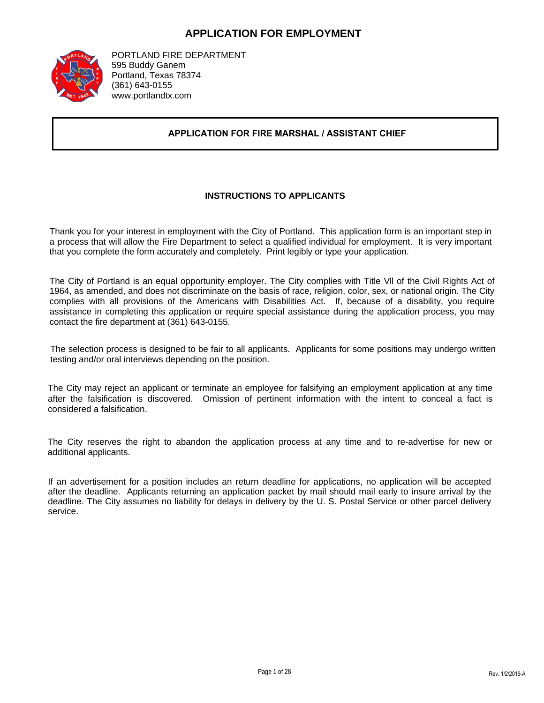#### **APPLICATION FOR EMPLOYMENT**



PORTLAND FIRE DEPARTMENT 595 Buddy Ganem Portland, Texas 78374 (361) 643-0155 www.portlandtx.com

#### **APPLICATION FOR FIRE MARSHAL / ASSISTANT CHIEF**

#### **INSTRUCTIONS TO APPLICANTS**

Thank you for your interest in employment with the City of Portland. This application form is an important step in a process that will allow the Fire Department to select a qualified individual for employment. It is very important that you complete the form accurately and completely. Print legibly or type your application.

The City of Portland is an equal opportunity employer. The City complies with Title Vll of the Civil Rights Act of 1964, as amended, and does not discriminate on the basis of race, religion, color, sex, or national origin. The City complies with all provisions of the Americans with Disabilities Act. If, because of a disability, you require assistance in completing this application or require special assistance during the application process, you may contact the fire department at (361) 643-0155.

The selection process is designed to be fair to all applicants. Applicants for some positions may undergo written testing and/or oral interviews depending on the position.

The City may reject an applicant or terminate an employee for falsifying an employment application at any time after the falsification is discovered. Omission of pertinent information with the intent to conceal a fact is considered a falsification.

The City reserves the right to abandon the application process at any time and to re-advertise for new or additional applicants.

If an advertisement for a position includes an return deadline for applications, no application will be accepted after the deadline. Applicants returning an application packet by mail should mail early to insure arrival by the deadline. The City assumes no liability for delays in delivery by the U. S. Postal Service or other parcel delivery service.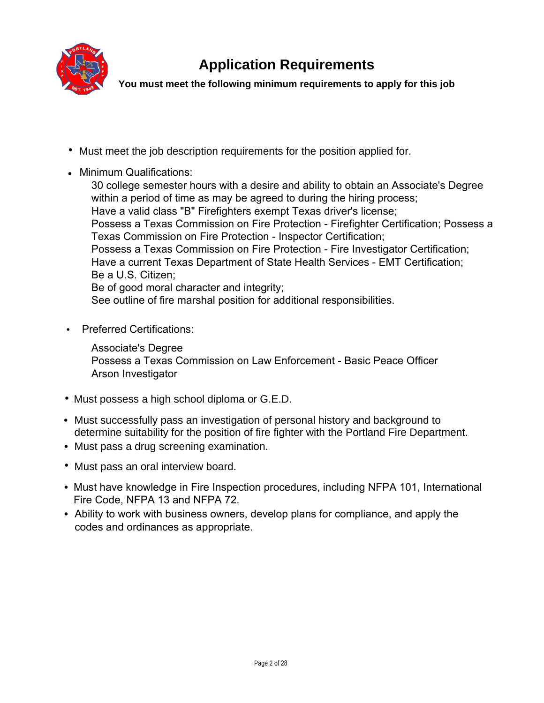

# **Application Requirements**

**You must meet the following minimum requirements to apply for this job**

- Must meet the job description requirements for the position applied for.
- **•** Minimum Qualifications:

Associate's Degree ; Have a valid class "B" Firefighters exempt Texas driver's license; Possess a Texas Commission on Fire Protection - Firefighter Certification; Possess a Texas Commission on Fire Protection - Inspector Certification; Possess a Texas Commission on Fire Protection - Fire Investigator Certification; Have a current Texas Department of State Health Services - EMT Certification; Be a U.S. Citizen; Be of good moral character and integrity; See outline of fire marshal position for additional responsibilities.

• Preferred Certifications:

Possess a Texas Commission on Law Enforcement - Basic Peace Officer Arson Investigator

- Must possess a high school diploma or G.E.D. **•**
- Must successfully pass an investigation of personal history and background to **•** determine suitability for the position of fire fighter with the Portland Fire Department.
- Must pass a drug screening examination. **•**
- Must pass an oral interview board. **•**
- **•** Must have knowledge in Fire Inspection procedures, including NFPA 101, International Fire Code, NFPA 13 and NFPA 72.
- **•** Ability to work with business owners, develop plans for compliance, and apply the codes and ordinances as appropriate.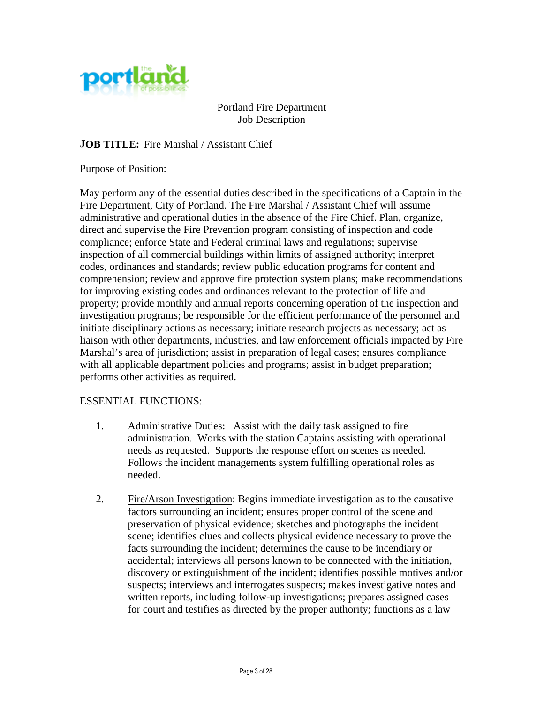

Portland Fire Department Job Description

**JOB TITLE:** Fire Marshal / Assistant Chief

Purpose of Position:

May perform any of the essential duties described in the specifications of a Captain in the Fire Department, City of Portland. The Fire Marshal / Assistant Chief will assume administrative and operational duties in the absence of the Fire Chief. Plan, organize, direct and supervise the Fire Prevention program consisting of inspection and code compliance; enforce State and Federal criminal laws and regulations; supervise inspection of all commercial buildings within limits of assigned authority; interpret codes, ordinances and standards; review public education programs for content and comprehension; review and approve fire protection system plans; make recommendations for improving existing codes and ordinances relevant to the protection of life and property; provide monthly and annual reports concerning operation of the inspection and investigation programs; be responsible for the efficient performance of the personnel and initiate disciplinary actions as necessary; initiate research projects as necessary; act as liaison with other departments, industries, and law enforcement officials impacted by Fire Marshal's area of jurisdiction; assist in preparation of legal cases; ensures compliance with all applicable department policies and programs; assist in budget preparation; performs other activities as required.

#### ESSENTIAL FUNCTIONS:

- 1. Administrative Duties: Assist with the daily task assigned to fire administration. Works with the station Captains assisting with operational needs as requested. Supports the response effort on scenes as needed. Follows the incident managements system fulfilling operational roles as needed.
- 2. Fire/Arson Investigation: Begins immediate investigation as to the causative factors surrounding an incident; ensures proper control of the scene and preservation of physical evidence; sketches and photographs the incident scene; identifies clues and collects physical evidence necessary to prove the facts surrounding the incident; determines the cause to be incendiary or accidental; interviews all persons known to be connected with the initiation, discovery or extinguishment of the incident; identifies possible motives and/or suspects; interviews and interrogates suspects; makes investigative notes and written reports, including follow-up investigations; prepares assigned cases for court and testifies as directed by the proper authority; functions as a law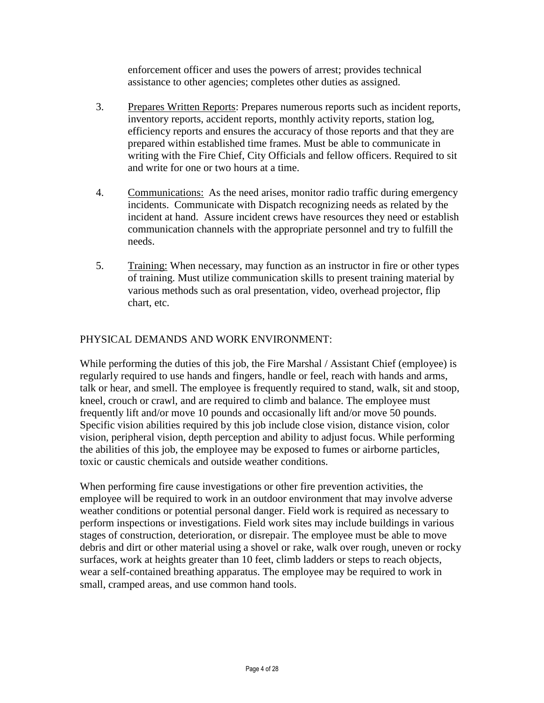enforcement officer and uses the powers of arrest; provides technical assistance to other agencies; completes other duties as assigned.

- 3. Prepares Written Reports: Prepares numerous reports such as incident reports, inventory reports, accident reports, monthly activity reports, station log, efficiency reports and ensures the accuracy of those reports and that they are prepared within established time frames. Must be able to communicate in writing with the Fire Chief, City Officials and fellow officers. Required to sit and write for one or two hours at a time.
- 4. Communications: As the need arises, monitor radio traffic during emergency incidents. Communicate with Dispatch recognizing needs as related by the incident at hand. Assure incident crews have resources they need or establish communication channels with the appropriate personnel and try to fulfill the needs.
- 5. Training: When necessary, may function as an instructor in fire or other types of training. Must utilize communication skills to present training material by various methods such as oral presentation, video, overhead projector, flip chart, etc.

# PHYSICAL DEMANDS AND WORK ENVIRONMENT:

While performing the duties of this job, the Fire Marshal / Assistant Chief (employee) is regularly required to use hands and fingers, handle or feel, reach with hands and arms, talk or hear, and smell. The employee is frequently required to stand, walk, sit and stoop, kneel, crouch or crawl, and are required to climb and balance. The employee must frequently lift and/or move 10 pounds and occasionally lift and/or move 50 pounds. Specific vision abilities required by this job include close vision, distance vision, color vision, peripheral vision, depth perception and ability to adjust focus. While performing the abilities of this job, the employee may be exposed to fumes or airborne particles, toxic or caustic chemicals and outside weather conditions.

When performing fire cause investigations or other fire prevention activities, the employee will be required to work in an outdoor environment that may involve adverse weather conditions or potential personal danger. Field work is required as necessary to perform inspections or investigations. Field work sites may include buildings in various stages of construction, deterioration, or disrepair. The employee must be able to move debris and dirt or other material using a shovel or rake, walk over rough, uneven or rocky surfaces, work at heights greater than 10 feet, climb ladders or steps to reach objects, wear a self-contained breathing apparatus. The employee may be required to work in small, cramped areas, and use common hand tools.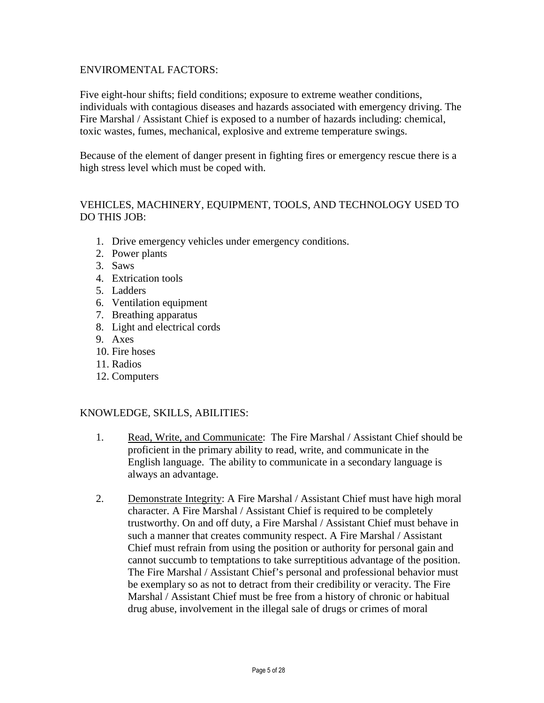#### ENVIROMENTAL FACTORS:

Five eight-hour shifts; field conditions; exposure to extreme weather conditions, individuals with contagious diseases and hazards associated with emergency driving. The Fire Marshal / Assistant Chief is exposed to a number of hazards including: chemical, toxic wastes, fumes, mechanical, explosive and extreme temperature swings.

Because of the element of danger present in fighting fires or emergency rescue there is a high stress level which must be coped with.

### VEHICLES, MACHINERY, EQUIPMENT, TOOLS, AND TECHNOLOGY USED TO DO THIS JOB:

- 1. Drive emergency vehicles under emergency conditions.
- 2. Power plants
- 3. Saws
- 4. Extrication tools
- 5. Ladders
- 6. Ventilation equipment
- 7. Breathing apparatus
- 8. Light and electrical cords
- 9. Axes
- 10. Fire hoses
- 11. Radios
- 12. Computers

#### KNOWLEDGE, SKILLS, ABILITIES:

- 1. Read, Write, and Communicate: The Fire Marshal / Assistant Chief should be proficient in the primary ability to read, write, and communicate in the English language. The ability to communicate in a secondary language is always an advantage.
- 2. Demonstrate Integrity: A Fire Marshal / Assistant Chief must have high moral character. A Fire Marshal / Assistant Chief is required to be completely trustworthy. On and off duty, a Fire Marshal / Assistant Chief must behave in such a manner that creates community respect. A Fire Marshal / Assistant Chief must refrain from using the position or authority for personal gain and cannot succumb to temptations to take surreptitious advantage of the position. The Fire Marshal / Assistant Chief's personal and professional behavior must be exemplary so as not to detract from their credibility or veracity. The Fire Marshal / Assistant Chief must be free from a history of chronic or habitual drug abuse, involvement in the illegal sale of drugs or crimes of moral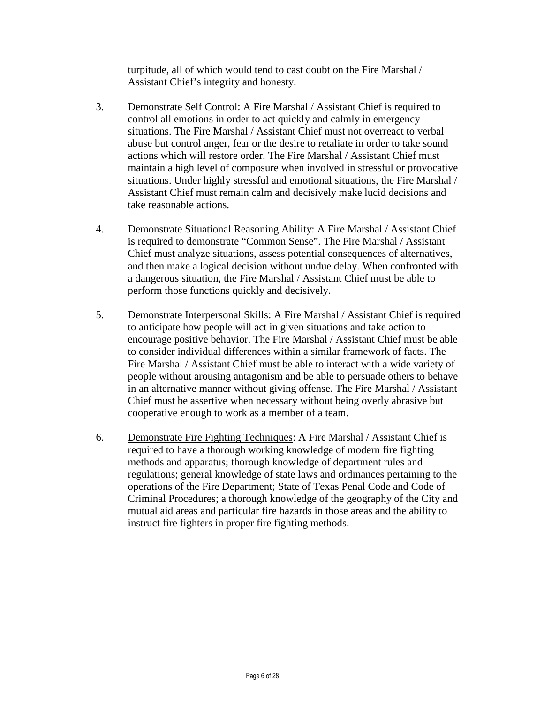turpitude, all of which would tend to cast doubt on the Fire Marshal / Assistant Chief's integrity and honesty.

- 3. Demonstrate Self Control: A Fire Marshal / Assistant Chief is required to control all emotions in order to act quickly and calmly in emergency situations. The Fire Marshal / Assistant Chief must not overreact to verbal abuse but control anger, fear or the desire to retaliate in order to take sound actions which will restore order. The Fire Marshal / Assistant Chief must maintain a high level of composure when involved in stressful or provocative situations. Under highly stressful and emotional situations, the Fire Marshal / Assistant Chief must remain calm and decisively make lucid decisions and take reasonable actions.
- 4. Demonstrate Situational Reasoning Ability: A Fire Marshal / Assistant Chief is required to demonstrate "Common Sense". The Fire Marshal / Assistant Chief must analyze situations, assess potential consequences of alternatives, and then make a logical decision without undue delay. When confronted with a dangerous situation, the Fire Marshal / Assistant Chief must be able to perform those functions quickly and decisively.
- 5. Demonstrate Interpersonal Skills: A Fire Marshal / Assistant Chief is required to anticipate how people will act in given situations and take action to encourage positive behavior. The Fire Marshal / Assistant Chief must be able to consider individual differences within a similar framework of facts. The Fire Marshal / Assistant Chief must be able to interact with a wide variety of people without arousing antagonism and be able to persuade others to behave in an alternative manner without giving offense. The Fire Marshal / Assistant Chief must be assertive when necessary without being overly abrasive but cooperative enough to work as a member of a team.
- 6. Demonstrate Fire Fighting Techniques: A Fire Marshal / Assistant Chief is required to have a thorough working knowledge of modern fire fighting methods and apparatus; thorough knowledge of department rules and regulations; general knowledge of state laws and ordinances pertaining to the operations of the Fire Department; State of Texas Penal Code and Code of Criminal Procedures; a thorough knowledge of the geography of the City and mutual aid areas and particular fire hazards in those areas and the ability to instruct fire fighters in proper fire fighting methods.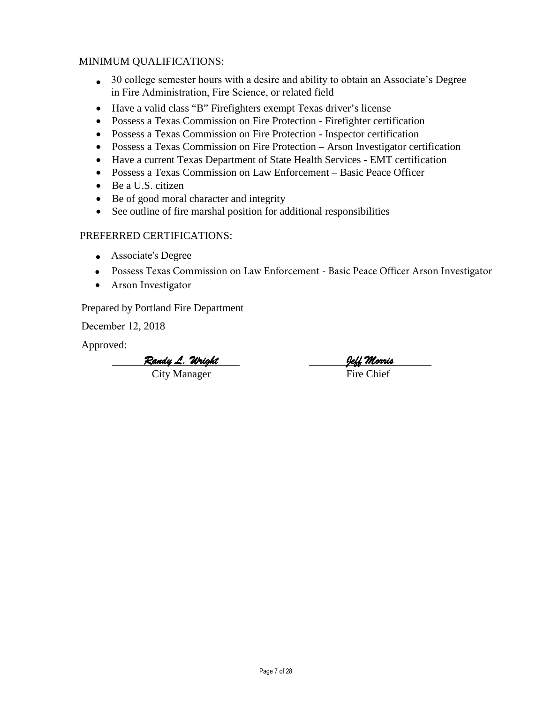### MINIMUM QUALIFICATIONS:

- Associate's Degree in Fire Administration, Fire Science, or related field
- Have a valid class "B" Firefighters exempt Texas driver's license
- Possess a Texas Commission on Fire Protection Firefighter certification
- Possess a Texas Commission on Fire Protection Inspector certification
- Possess a Texas Commission on Fire Protection Arson Investigator certification
- Have a current Texas Department of State Health Services EMT certification
- Possess a Texas Commission on Law Enforcement Basic Peace Officer
- Be a U.S. citizen
- Be of good moral character and integrity
- See outline of fire marshal position for additional responsibilities

### PREFERRED CERTIFICATIONS:

- Possess Texas Commission on Law Enforcement Basic Peace Officer Arson Investigator
- Arson Investigator

Prepared by Portland Fire Department

December 12, 2018

Approved:

*Randy L. Wright Jeff Morris*  City Manager Fire Chief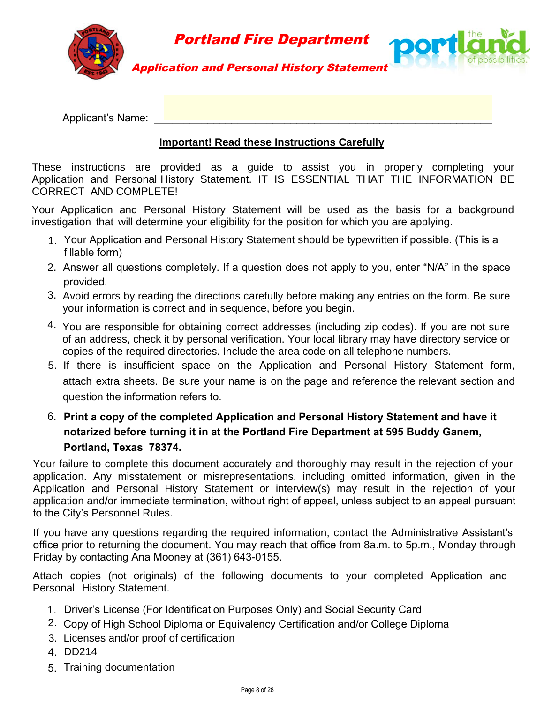

Applicant's Name:

# **Important! Read these Instructions Carefully**

These instructions are provided as a guide to assist you in properly completing your Application and Personal History Statement. IT IS ESSENTIAL THAT THE INFORMATION BE CORRECT AND COMPLETE!

Your Application and Personal History Statement will be used as the basis for a background investigation that will determine your eligibility for the position for which you are applying.

- 1. Your Application and Personal History Statement should be typewritten if possible. (This is a fillable form)
- 2. Answer all questions completely. If a question does not apply to you, enter "N/A" in the space provided.
- 3. Avoid errors by reading the directions carefully before making any entries on the form. Be sure your information is correct and in sequence, before you begin.
- 4. You are responsible for obtaining correct addresses (including zip codes). If you are not sure of an address, check it by personal verification. Your local library may have directory service or copies of the required directories. Include the area code on all telephone numbers.
- 5. If there is insufficient space on the Application and Personal History Statement form, attach extra sheets. Be sure your name is on the page and reference the relevant section and question the information refers to.
- 6. **Print a copy of the completed Application and Personal History Statement and have it notarized before turning it in at the Portland Fire Department at 595 Buddy Ganem, Portland, Texas 78374.**

Your failure to complete this document accurately and thoroughly may result in the rejection of your application. Any misstatement or misrepresentations, including omitted information, given in the Application and Personal History Statement or interview(s) may result in the rejection of your application and/or immediate termination, without right of appeal, unless subject to an appeal pursuant to the City's Personnel Rules.

If you have any questions regarding the required information, contact the Administrative Assistant's office prior to returning the document. You may reach that office from 8a.m. to 5p.m., Monday through Friday by contacting Ana Mooney at (361) 643-0155.

Attach copies (not originals) of the following documents to your completed Application and Personal History Statement.

- 1. Driver's License (For Identification Purposes Only) and Social Security Card
- 2. Copy of High School Diploma or Equivalency Certification and/or College Diploma
- 3. Licenses and/or proof of certification
- 4. DD214
- 5. Training documentation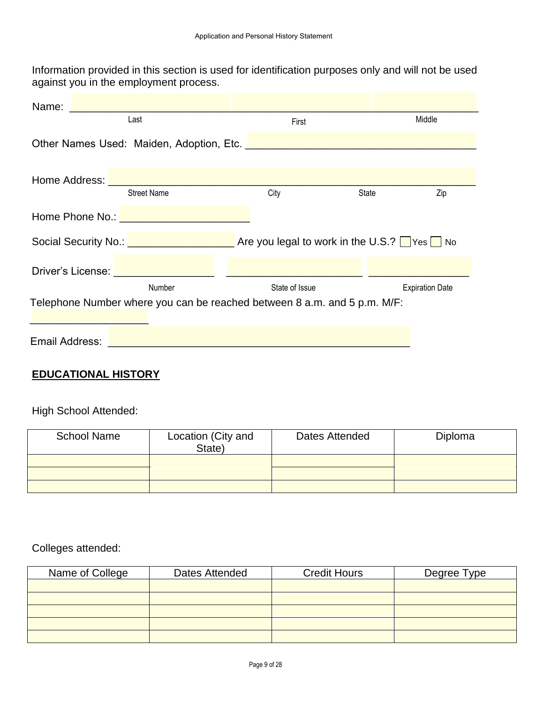|  | $\sim$ |
|--|--------|
|  |        |
|  |        |
|  |        |
|  |        |
|  |        |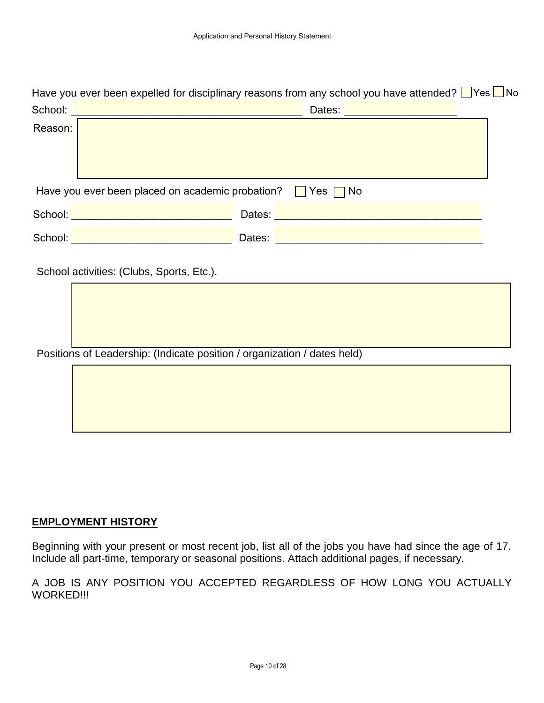|         | Have you ever been expelled for disciplinary reasons from any school you have attended? $\Box$ Yes $\Box$ No                                                                                                                                                                                                                                                 |  |
|---------|--------------------------------------------------------------------------------------------------------------------------------------------------------------------------------------------------------------------------------------------------------------------------------------------------------------------------------------------------------------|--|
|         |                                                                                                                                                                                                                                                                                                                                                              |  |
| Reason: | Dates: <u>Alexander Alexander Alexander</u>                                                                                                                                                                                                                                                                                                                  |  |
|         | Have you ever been placed on academic probation? $\Box$ Yes $\Box$ No                                                                                                                                                                                                                                                                                        |  |
|         |                                                                                                                                                                                                                                                                                                                                                              |  |
|         | School: <u>Andrea Maria Alexander (Andrea Maria Alexander (Andrea Maria Alexander (Andrea Maria Alexander (Andre</u><br>Dates: <u>Design and Contract and Contract and Contract and Contract and Contract and Contract and Contract and Contract and Contract and Contract and Contract and Contract and Contract and Contract and Contract and Contract</u> |  |
|         | School activities: (Clubs, Sports, Etc.).                                                                                                                                                                                                                                                                                                                    |  |
|         | Positions of Leadership: (Indicate position / organization / dates held)                                                                                                                                                                                                                                                                                     |  |
|         |                                                                                                                                                                                                                                                                                                                                                              |  |

### **EMPLOYMENT HISTORY**

Beginning with your present or most recent job, list all of the jobs you have had since the age of 17. Include all part-time, temporary or seasonal positions. Attach additional pages, if necessary.

A JOB IS ANY POSITION YOU ACCEPTED REGARDLESS OF HOW LONG YOU ACTUALLY WORKED!!!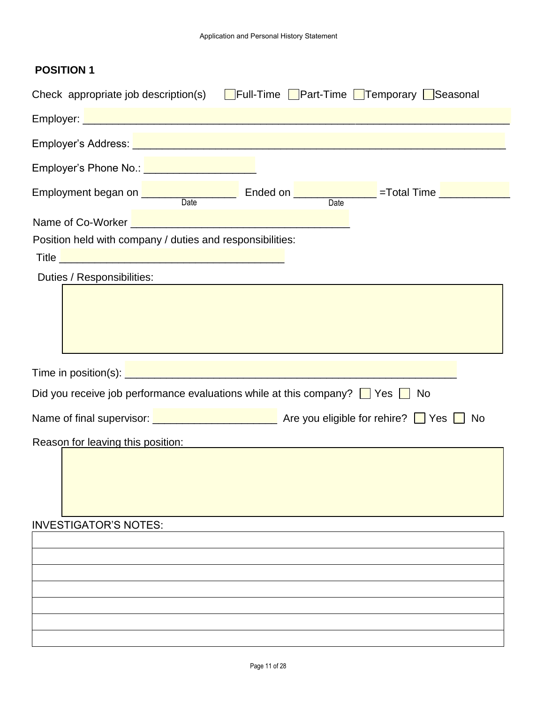| Check appropriate job description(s)                                                                                                                                                                                             | Full-Time Part-Time Temporary Seasonal |    |
|----------------------------------------------------------------------------------------------------------------------------------------------------------------------------------------------------------------------------------|----------------------------------------|----|
|                                                                                                                                                                                                                                  |                                        |    |
|                                                                                                                                                                                                                                  |                                        |    |
| Employer's Phone No.: <u>Alexander American Active</u>                                                                                                                                                                           |                                        |    |
| Employment began on <u>Date</u> Ended on <b>Example 2018</b> = Total Time <b>Employment</b> began on Date                                                                                                                        | $\overline{Date}$                      |    |
| Name of Co-Worker <u>Name of Co-Worker</u><br>Position held with company / duties and responsibilities:                                                                                                                          |                                        |    |
| Title <u>December 2008</u><br>Duties / Responsibilities:                                                                                                                                                                         |                                        |    |
|                                                                                                                                                                                                                                  |                                        |    |
| Did you receive job performance evaluations while at this company? $\Box$ Yes $\Box$                                                                                                                                             |                                        | No |
| Name of final supervisor: <u>■ ■ ■ ■ ■ ■ ■ ■ ■ ■ ■ Are you eligible for rehire?</u> ■ Yes ■ No                                                                                                                                   |                                        |    |
| Reason for leaving this position:<br>Second the second second second second second second second second second second second second second second second second second second second second second second second second second s |                                        |    |
|                                                                                                                                                                                                                                  |                                        |    |
| <b>INVESTIGATOR'S NOTES:</b>                                                                                                                                                                                                     |                                        |    |
|                                                                                                                                                                                                                                  |                                        |    |
|                                                                                                                                                                                                                                  |                                        |    |
|                                                                                                                                                                                                                                  |                                        |    |
|                                                                                                                                                                                                                                  |                                        |    |
|                                                                                                                                                                                                                                  |                                        |    |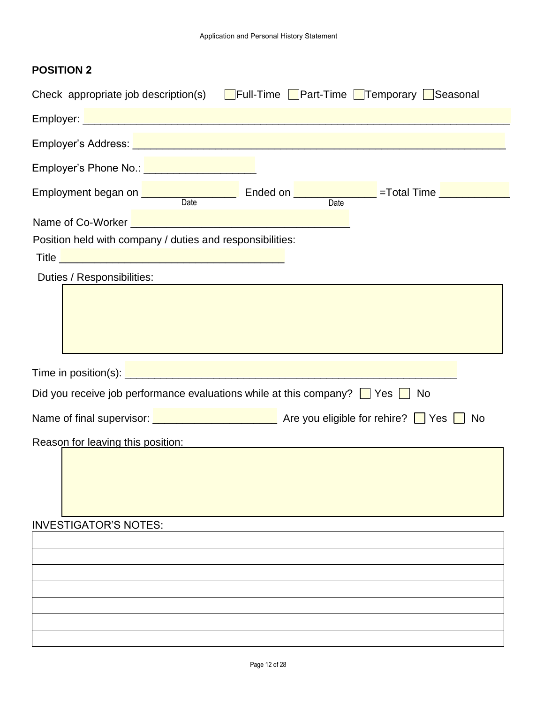| Check appropriate job description(s) $\Box$ Full-Time $\Box$ Part-Time $\Box$ Temporary $\Box$ Seasonal                                                                                                                                                                                                                                     |
|---------------------------------------------------------------------------------------------------------------------------------------------------------------------------------------------------------------------------------------------------------------------------------------------------------------------------------------------|
|                                                                                                                                                                                                                                                                                                                                             |
| Employer's Address: <u>December 2008</u> and 2009 and 2009 and 2009 and 2009 and 2009 and 2009 and 2009 and 2009 and                                                                                                                                                                                                                        |
| Employer's Phone No.: <u>_____________________</u>                                                                                                                                                                                                                                                                                          |
| Employment began on <u>Date</u> Ended on <b>Example 2018</b> = Total Time <b>Example 2018</b> Total Time<br>Date                                                                                                                                                                                                                            |
| Name of Co-Worker <u>December 2008</u><br>Position held with company / duties and responsibilities:<br>Title <u>Design and the second contract of the second contract of the second contract of the second contract of the second contract of the second contract of the second contract of the second contract of the second contract </u> |
| Duties / Responsibilities:                                                                                                                                                                                                                                                                                                                  |
|                                                                                                                                                                                                                                                                                                                                             |
| Time in position(s): <u>New York Community of the set of the set of the set of the set of the set of the set of the set of the set of the set of the set of the set of the set of the set of the set of the set of the set of th</u>                                                                                                        |
| Did you receive job performance evaluations while at this company? $\Box$ Yes $\Box$<br>No                                                                                                                                                                                                                                                  |
| Name of final supervisor: <u>■ ■ ■ ■ ■ ■ ■ ■ ■ ■ Are you eligible for rehire?</u> ■ Yes ■ No                                                                                                                                                                                                                                                |
| Reason for leaving this position:<br>Express that the same state of the state of the state of the state of the state of the state of the state of the state of the state of the state of the state of the state of the state of                                                                                                             |
|                                                                                                                                                                                                                                                                                                                                             |
| <b>INVESTIGATOR'S NOTES:</b>                                                                                                                                                                                                                                                                                                                |
|                                                                                                                                                                                                                                                                                                                                             |
|                                                                                                                                                                                                                                                                                                                                             |
|                                                                                                                                                                                                                                                                                                                                             |
|                                                                                                                                                                                                                                                                                                                                             |
|                                                                                                                                                                                                                                                                                                                                             |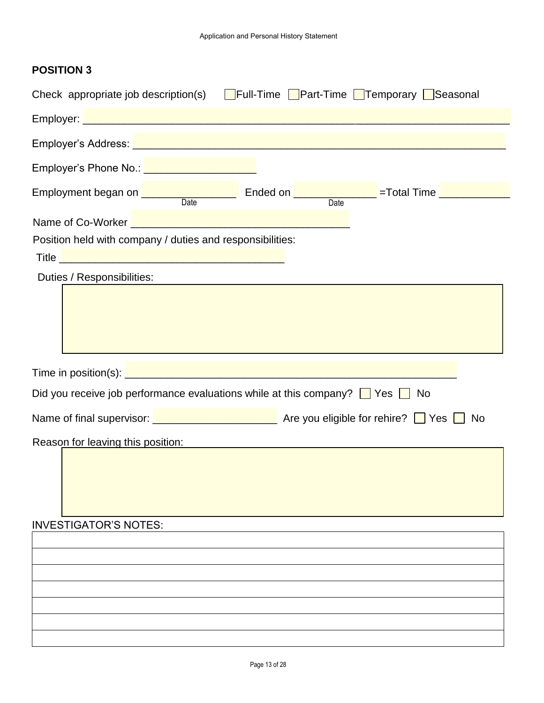| Check appropriate job description(s) $\Box$ Full-Time $\Box$ Part-Time $\Box$ Temporary $\Box$ Seasonal                                            |  |
|----------------------------------------------------------------------------------------------------------------------------------------------------|--|
|                                                                                                                                                    |  |
|                                                                                                                                                    |  |
| Employer's Phone No.: Van American Control of The Phone School and The Phone School and The Phone School and                                       |  |
| Employment began on <u>Date</u> Ended on <b>Example 2018</b> =Total Time <b>Employment</b> began on Date                                           |  |
| Name of Co-Worker <u>Name of Co-Worker</u><br>Position held with company / duties and responsibilities:                                            |  |
| Title <u>December 2008 - 2009 - 2009 - 2009 - 2009 - 2009 - 2009 - 2009 - 2009 - 2009 - 2009 - 2009 - 2009 - 200</u><br>Duties / Responsibilities: |  |
|                                                                                                                                                    |  |
|                                                                                                                                                    |  |
| Did you receive job performance evaluations while at this company? $\Box$ Yes $\Box$ No                                                            |  |
| Name of final supervisor: <u>■ ■ ■ ■ ■ ■ ■ ■ ■ ■ ■ Are you eligible for rehire?</u> ■ Yes ■ No                                                     |  |
| Reason for leaving this position: National Assemblance of the Reason for leaving this position:                                                    |  |
|                                                                                                                                                    |  |
| <b>INVESTIGATOR'S NOTES:</b>                                                                                                                       |  |
|                                                                                                                                                    |  |
|                                                                                                                                                    |  |
|                                                                                                                                                    |  |
|                                                                                                                                                    |  |
|                                                                                                                                                    |  |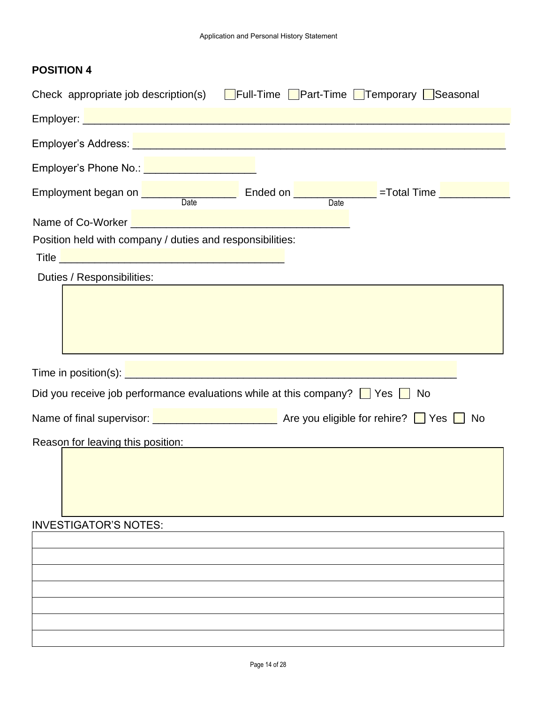| Check appropriate job description(s) $\Box$ Full-Time $\Box$ Part-Time $\Box$ Temporary $\Box$ Seasonal                                                                                                                       |    |
|-------------------------------------------------------------------------------------------------------------------------------------------------------------------------------------------------------------------------------|----|
|                                                                                                                                                                                                                               |    |
|                                                                                                                                                                                                                               |    |
| Employer's Phone No.: <u>_____________________</u>                                                                                                                                                                            |    |
| Employment began on <u>Date</u> Ended on <b>Example 2018</b> = Total Time <b>Employment</b> began on Date                                                                                                                     |    |
| Name of Co-Worker <u>Landscape and the contract of Co-Worker</u>                                                                                                                                                              |    |
| Position held with company / duties and responsibilities:                                                                                                                                                                     |    |
|                                                                                                                                                                                                                               |    |
| Duties / Responsibilities:                                                                                                                                                                                                    |    |
|                                                                                                                                                                                                                               |    |
|                                                                                                                                                                                                                               |    |
| Did you receive job performance evaluations while at this company? $\Box$ Yes $\Box$                                                                                                                                          | No |
| Name of final supervisor: <u>■ ■ ■ ■ ■ ■ ■ ■ ■ ■ ■ Are you eligible for rehire?</u> ■ Yes ■ No                                                                                                                                |    |
| Reason for leaving this position: Notified the state of the state of the state of the state of the state of the state of the state of the state of the state of the state of the state of the state of the state of the state |    |
|                                                                                                                                                                                                                               |    |
| <b>INVESTIGATOR'S NOTES:</b>                                                                                                                                                                                                  |    |
|                                                                                                                                                                                                                               |    |
|                                                                                                                                                                                                                               |    |
|                                                                                                                                                                                                                               |    |
|                                                                                                                                                                                                                               |    |
|                                                                                                                                                                                                                               |    |
|                                                                                                                                                                                                                               |    |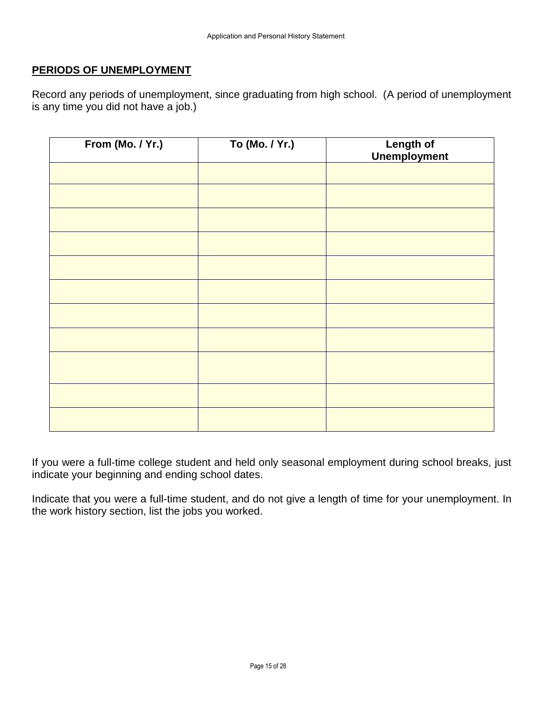### **PERIODS OF UNEMPLOYMENT**

Record any periods of unemployment, since graduating from high school. (A period of unemployment is any time you did not have a job.)

| From (Mo. / Yr.) | To (Mo. / Yr.) | Length of<br>Unemployment |
|------------------|----------------|---------------------------|
|                  |                |                           |
|                  |                |                           |
|                  |                |                           |
|                  |                |                           |
|                  |                |                           |
|                  |                |                           |
|                  |                |                           |
|                  |                |                           |
|                  |                |                           |
|                  |                |                           |
|                  |                |                           |

If you were a full-time college student and held only seasonal employment during school breaks, just indicate your beginning and ending school dates.

Indicate that you were a full-time student, and do not give a length of time for your unemployment. In the work history section, list the jobs you worked.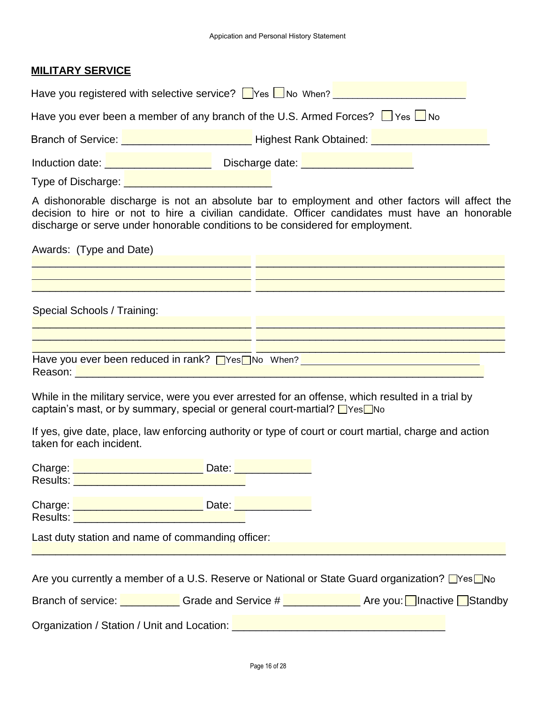#### **MILITARY SERVICE**

| Have you registered with selective service? $\Box$ Yes $\Box$ No When?                                                                                                                                                               |                                                           |  |  |  |  |
|--------------------------------------------------------------------------------------------------------------------------------------------------------------------------------------------------------------------------------------|-----------------------------------------------------------|--|--|--|--|
| Have you ever been a member of any branch of the U.S. Armed Forces? $\Box$ Yes $\Box$ No                                                                                                                                             |                                                           |  |  |  |  |
| Branch of Service: <u>_________________________</u>                                                                                                                                                                                  | Highest Rank Obtained: <b>Fig. 1.2. Committee Control</b> |  |  |  |  |
| Induction date: <u>New York New York New York New York New York New York New York New York New York New York New York New York New York New York New York New York New York New York New York New York New York New York New Yor</u> |                                                           |  |  |  |  |
| Type of Discharge:                                                                                                                                                                                                                   |                                                           |  |  |  |  |

A dishonorable discharge is not an absolute bar to employment and other factors will affect the decision to hire or not to hire a civilian candidate. Officer candidates must have an honorable discharge or serve under honorable conditions to be considered for employment.

| Awards: (Type and Date)                           |  |
|---------------------------------------------------|--|
|                                                   |  |
|                                                   |  |
|                                                   |  |
|                                                   |  |
| Special Schools / Training:                       |  |
|                                                   |  |
|                                                   |  |
|                                                   |  |
| Have you ever been reduced in rank? Thes No When? |  |
| Reason:                                           |  |

While in the military service, were you ever arrested for an offense, which resulted in a trial by captain's mast, or by summary, special or general court-martial?  $\Box$ Yes $\Box$ No

If yes, give date, place, law enforcing authority or type of court or court martial, charge and action taken for each incident.

| Charge: <u>Denversion Charge:</u>                                                                                                                                                                                              | Date: Date: Distribution of the Manuscription of the Manuscription of the Manuscription of the Manuscription o                  |  |
|--------------------------------------------------------------------------------------------------------------------------------------------------------------------------------------------------------------------------------|---------------------------------------------------------------------------------------------------------------------------------|--|
| Results: Network and the set of the set of the set of the set of the set of the set of the set of the set of the set of the set of the set of the set of the set of the set of the set of the set of the set of the set of the |                                                                                                                                 |  |
| Charge: <u>New York Charge:</u>                                                                                                                                                                                                | Date: <u>New York Bate</u>                                                                                                      |  |
| Results: Network of the Contract of the Contract of the Contract of the Contract of the Contract of the Contract of the Contract of the Contract of the Contract of the Contract of the Contract of the Contract of the Contra |                                                                                                                                 |  |
| Last duty station and name of commanding officer:                                                                                                                                                                              |                                                                                                                                 |  |
|                                                                                                                                                                                                                                |                                                                                                                                 |  |
|                                                                                                                                                                                                                                | Are you currently a member of a U.S. Reserve or National or State Guard organization? $\Box$ Yes $\Box$ No                      |  |
|                                                                                                                                                                                                                                | Branch of service: $\blacksquare$ Grade and Service $\#$ $\blacksquare$ Are you: $\blacksquare$ Inactive $\blacksquare$ Standby |  |
|                                                                                                                                                                                                                                | Organization / Station / Unit and Location: [14] Drama Management of Station / Station / Unit and Location: [1                  |  |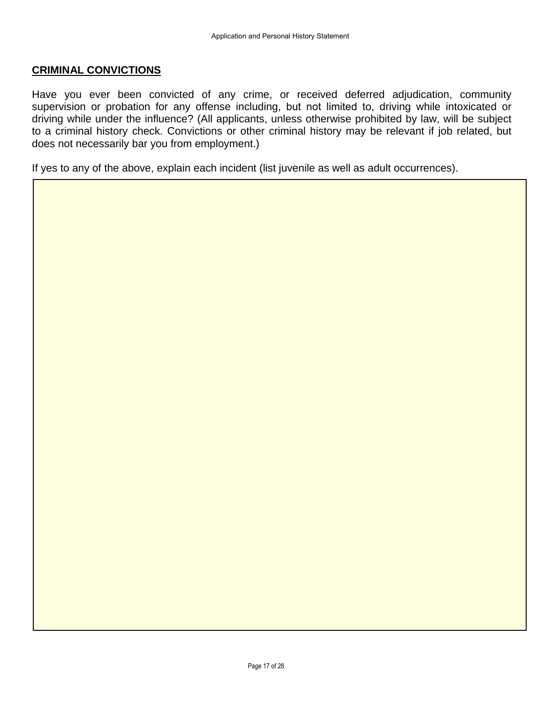### **CRIMINAL CONVICTIONS**

Have you ever been convicted of any crime, or received deferred adjudication, community supervision or probation for any offense including, but not limited to, driving while intoxicated or driving while under the influence? (All applicants, unless otherwise prohibited by law, will be subject to a criminal history check. Convictions or other criminal history may be relevant if job related, but does not necessarily bar you from employment.)

If yes to any of the above, explain each incident (list juvenile as well as adult occurrences).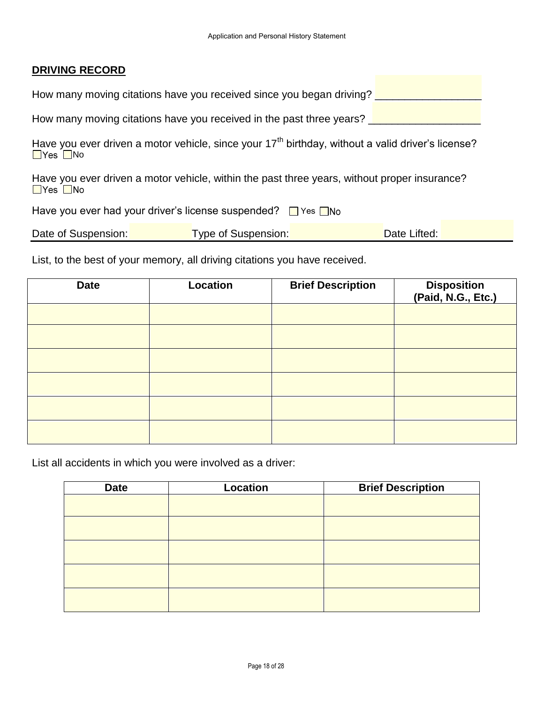### **DRIVING RECORD**

|  | How many moving citations have you received since you began driving? |  |
|--|----------------------------------------------------------------------|--|
|--|----------------------------------------------------------------------|--|

How many moving citations have you received in the past three years?

Have you ever driven a motor vehicle, since your 17<sup>th</sup> birthday, without a valid driver's license?  $Yes$  No

Have you ever driven a motor vehicle, within the past three years, without proper insurance?<br>
I Yes I No

Have you ever had your driver's license suspended? If Yes

| Date of Suspension: | Type of Suspension: | Date Lifted: |  |
|---------------------|---------------------|--------------|--|
|                     |                     |              |  |

List, to the best of your memory, all driving citations you have received.

| <b>Date</b> | <b>Location</b> | <b>Brief Description</b> | Disposition<br>(Paid, N.G., Etc.) |
|-------------|-----------------|--------------------------|-----------------------------------|
|             |                 |                          |                                   |
|             |                 |                          |                                   |
|             |                 |                          |                                   |
|             |                 |                          |                                   |
|             |                 |                          |                                   |
|             |                 |                          |                                   |

List all accidents in which you were involved as a driver:

| <b>Date</b> | Location | <b>Brief Description</b> |
|-------------|----------|--------------------------|
|             |          |                          |
|             |          |                          |
|             |          |                          |
|             |          |                          |
|             |          |                          |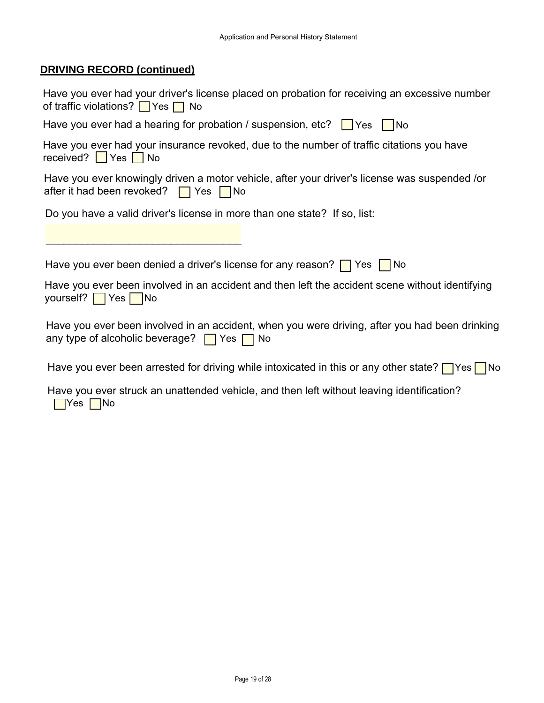# **DRIVING RECORD (continued)**

| Have you ever had your driver's license placed on probation for receiving an excessive number<br>of traffic violations? $\Box$ Yes $\Box$ No           |
|--------------------------------------------------------------------------------------------------------------------------------------------------------|
| Have you ever had a hearing for probation / suspension, etc? $\Box$ Yes $\Box$ No                                                                      |
| Have you ever had your insurance revoked, due to the number of traffic citations you have<br>received? $\blacksquare$ Yes $\blacksquare$ No            |
| Have you ever knowingly driven a motor vehicle, after your driver's license was suspended /or<br>after it had been revoked? $\Box$ Yes $\Box$ No       |
| Do you have a valid driver's license in more than one state? If so, list:                                                                              |
|                                                                                                                                                        |
| Have you ever been denied a driver's license for any reason? $\Box$ Yes $\Box$ No                                                                      |
| Have you ever been involved in an accident and then left the accident scene without identifying<br>yourself? $\sqrt{\ }$ Yes $\sqrt{\ }$ No            |
| Have you ever been involved in an accident, when you were driving, after you had been drinking<br>any type of alcoholic beverage? $\Box$ Yes $\Box$ No |
| Have you ever been arrested for driving while intoxicated in this or any other state? $\Box$ Yes $\Box$ No                                             |
| Have you ever struck an unattended vehicle, and then left without leaving identification?<br>$\blacksquare$ Yes $\blacksquare$ No                      |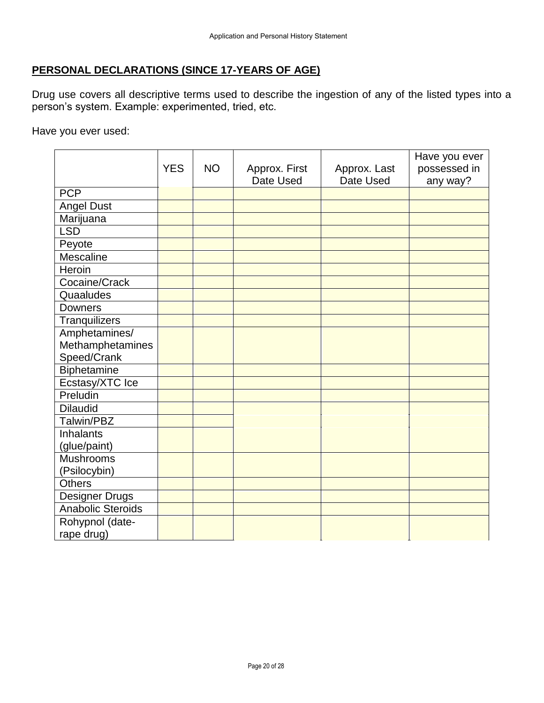# **PERSONAL DECLARATIONS (SINCE 17-YEARS OF AGE)**

Drug use covers all descriptive terms used to describe the ingestion of any of the listed types into a person's system. Example: experimented, tried, etc.

Have you ever used:

|                          |            |           |               |              | Have you ever |
|--------------------------|------------|-----------|---------------|--------------|---------------|
|                          | <b>YES</b> | <b>NO</b> | Approx. First | Approx. Last | possessed in  |
|                          |            |           | Date Used     | Date Used    | any way?      |
| <b>PCP</b>               |            |           |               |              |               |
| <b>Angel Dust</b>        |            |           |               |              |               |
| Marijuana                |            |           |               |              |               |
| <b>LSD</b>               |            |           |               |              |               |
| Peyote                   |            |           |               |              |               |
| Mescaline                |            |           |               |              |               |
| Heroin                   |            |           |               |              |               |
| Cocaine/Crack            |            |           |               |              |               |
| Quaaludes                |            |           |               |              |               |
| <b>Downers</b>           |            |           |               |              |               |
| Tranquilizers            |            |           |               |              |               |
| Amphetamines/            |            |           |               |              |               |
| Methamphetamines         |            |           |               |              |               |
| Speed/Crank              |            |           |               |              |               |
| Biphetamine              |            |           |               |              |               |
| Ecstasy/XTC Ice          |            |           |               |              |               |
| Preludin                 |            |           |               |              |               |
| <b>Dilaudid</b>          |            |           |               |              |               |
| Talwin/PBZ               |            |           |               |              |               |
| <b>Inhalants</b>         |            |           |               |              |               |
| (glue/paint)             |            |           |               |              |               |
| <b>Mushrooms</b>         |            |           |               |              |               |
| (Psilocybin)             |            |           |               |              |               |
| <b>Others</b>            |            |           |               |              |               |
| <b>Designer Drugs</b>    |            |           |               |              |               |
| <b>Anabolic Steroids</b> |            |           |               |              |               |
| Rohypnol (date-          |            |           |               |              |               |
| rape drug)               |            |           |               |              |               |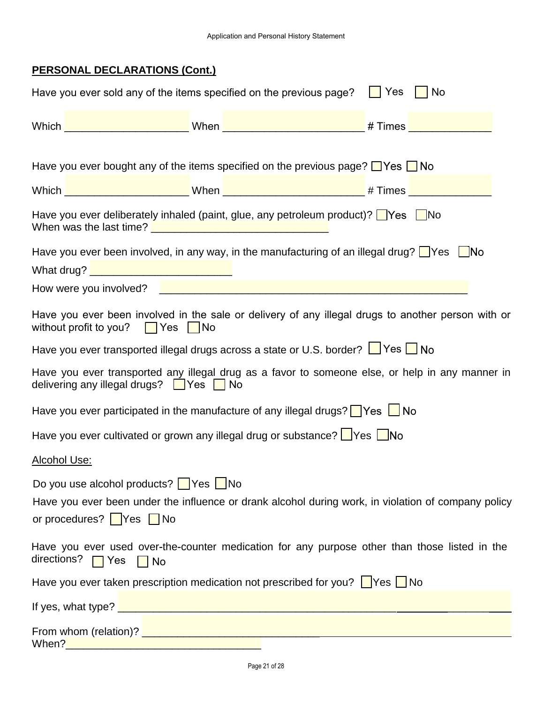# **PERSONAL DECLARATIONS (Cont.)**

|                                                                          | Have you ever sold any of the items specified on the previous page?                                                                                                                                                                  | $\vert$ Yes<br>$\blacksquare$ No |  |
|--------------------------------------------------------------------------|--------------------------------------------------------------------------------------------------------------------------------------------------------------------------------------------------------------------------------------|----------------------------------|--|
|                                                                          |                                                                                                                                                                                                                                      |                                  |  |
|                                                                          |                                                                                                                                                                                                                                      |                                  |  |
|                                                                          | Have you ever bought any of the items specified on the previous page? $\Box$ Yes $\Box$ No                                                                                                                                           |                                  |  |
|                                                                          |                                                                                                                                                                                                                                      |                                  |  |
|                                                                          | Have you ever deliberately inhaled (paint, glue, any petroleum product)? $\Box$ Yes $\Box$ No                                                                                                                                        |                                  |  |
|                                                                          | Have you ever been involved, in any way, in the manufacturing of an illegal drug? $\Box$ Yes $\Box$ No                                                                                                                               |                                  |  |
| What drug? <u>___________________________________</u>                    |                                                                                                                                                                                                                                      |                                  |  |
|                                                                          | How were you involved? <u>In the contract of the contract of the set of the set of the set of the set of the set of the set of the set of the set of the set of the set of the set of the set of the set of the set of the set o</u> |                                  |  |
| without profit to you? $\Box$ Yes $\Box$ No                              | Have you ever been involved in the sale or delivery of any illegal drugs to another person with or                                                                                                                                   |                                  |  |
|                                                                          | Have you ever transported illegal drugs across a state or U.S. border? I Yes I No                                                                                                                                                    |                                  |  |
| delivering any illegal drugs? $\Box$ Yes $\Box$ No                       | Have you ever transported any illegal drug as a favor to someone else, or help in any manner in                                                                                                                                      |                                  |  |
|                                                                          | Have you ever participated in the manufacture of any illegal drugs? $\Box$ Yes $\Box$ No                                                                                                                                             |                                  |  |
| Have you ever cultivated or grown any illegal drug or substance? Ves UNo |                                                                                                                                                                                                                                      |                                  |  |
| Alcohol Use:                                                             |                                                                                                                                                                                                                                      |                                  |  |
| Do you use alcohol products? $\Box$ Yes $\Box$ No                        |                                                                                                                                                                                                                                      |                                  |  |
|                                                                          | Have you ever been under the influence or drank alcohol during work, in violation of company policy                                                                                                                                  |                                  |  |
| or procedures? $\sqrt{\phantom{a}}$ Yes $\sqrt{\phantom{a}}$ No          |                                                                                                                                                                                                                                      |                                  |  |
| directions?   Yes   No                                                   | Have you ever used over-the-counter medication for any purpose other than those listed in the                                                                                                                                        |                                  |  |
|                                                                          | Have you ever taken prescription medication not prescribed for you? $\Box$ Yes $\Box$ No                                                                                                                                             |                                  |  |
|                                                                          |                                                                                                                                                                                                                                      |                                  |  |
| When?                                                                    | From whom (relation)? Example 2014 19:30 and 2014 19:30 and 2014 19:30 and 2014 19:30 and 2014 19:30 and 2014<br><u> 1989 - Johann Barbara, martxa alemaniar arg</u>                                                                 |                                  |  |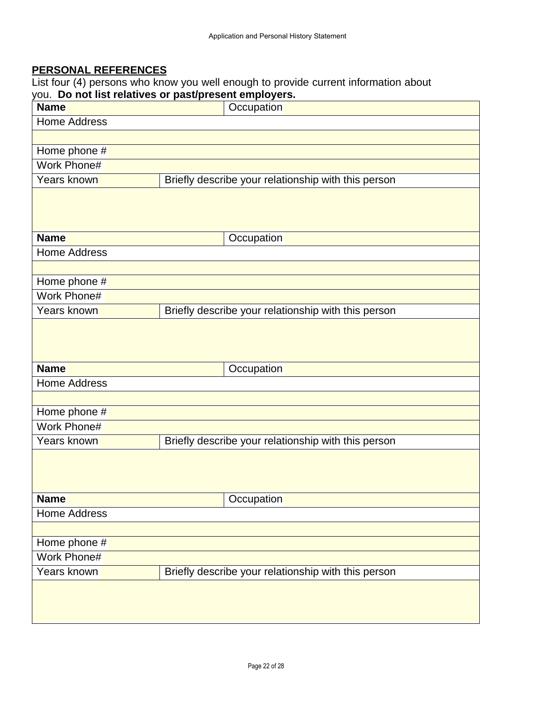# **PERSONAL REFERENCES**

List four (4) persons who know you well enough to provide current information about you. **Do not list relatives or past/present employers.** 

| <b>Name</b>         | ou. Do not ust relatives or pasupresent employers.<br>Occupation |
|---------------------|------------------------------------------------------------------|
| <b>Home Address</b> |                                                                  |
|                     |                                                                  |
| Home phone #        |                                                                  |
| Work Phone#         |                                                                  |
| Years known         | Briefly describe your relationship with this person              |
|                     |                                                                  |
| <b>Name</b>         | Occupation                                                       |
| <b>Home Address</b> |                                                                  |
|                     |                                                                  |
| Home phone #        |                                                                  |
| Work Phone#         |                                                                  |
| Years known         | Briefly describe your relationship with this person              |
|                     |                                                                  |
| <b>Name</b>         | Occupation                                                       |
| <b>Home Address</b> |                                                                  |
|                     |                                                                  |
| Home phone #        |                                                                  |
| Work Phone#         |                                                                  |
| Years known         | Briefly describe your relationship with this person              |
|                     |                                                                  |
| <b>Name</b>         | Occupation                                                       |
| <b>Home Address</b> |                                                                  |
|                     |                                                                  |
| Home phone #        |                                                                  |
| Work Phone#         |                                                                  |
| Years known         | Briefly describe your relationship with this person              |
|                     |                                                                  |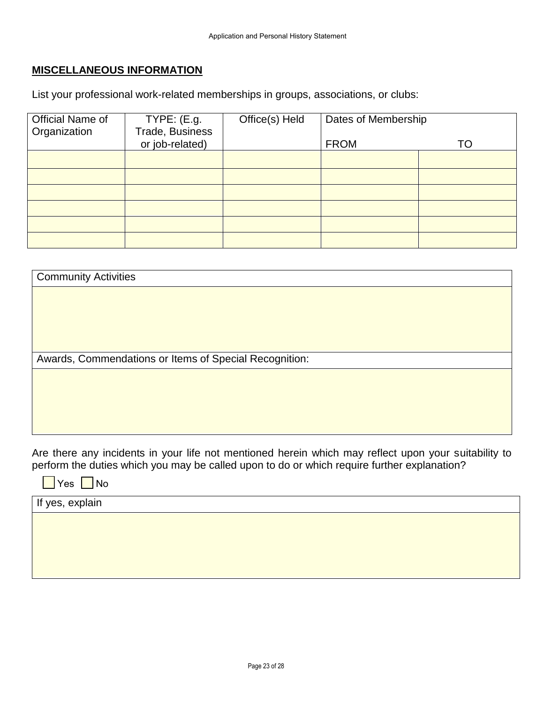## **MISCELLANEOUS INFORMATION**

List your professional work-related memberships in groups, associations, or clubs:

| Official Name of | TYPE: (E.g.     | Office(s) Held | Dates of Membership |    |
|------------------|-----------------|----------------|---------------------|----|
|                  |                 |                |                     |    |
| Organization     | Trade, Business |                |                     |    |
|                  | or job-related) |                | <b>FROM</b>         | TO |
|                  |                 |                |                     |    |
|                  |                 |                |                     |    |
|                  |                 |                |                     |    |
|                  |                 |                |                     |    |
|                  |                 |                |                     |    |
|                  |                 |                |                     |    |
|                  |                 |                |                     |    |
|                  |                 |                |                     |    |
|                  |                 |                |                     |    |
|                  |                 |                |                     |    |
|                  |                 |                |                     |    |
|                  |                 |                |                     |    |
|                  |                 |                |                     |    |

| <b>Community Activities</b>                            |  |
|--------------------------------------------------------|--|
|                                                        |  |
|                                                        |  |
|                                                        |  |
|                                                        |  |
|                                                        |  |
| Awards, Commendations or Items of Special Recognition: |  |
|                                                        |  |
|                                                        |  |
|                                                        |  |

Are there any incidents in your life not mentioned herein which may reflect upon your suitability to perform the duties which you may be called upon to do or which require further explanation?

 $\blacksquare$  Yes  $\blacksquare$  No

If yes, explain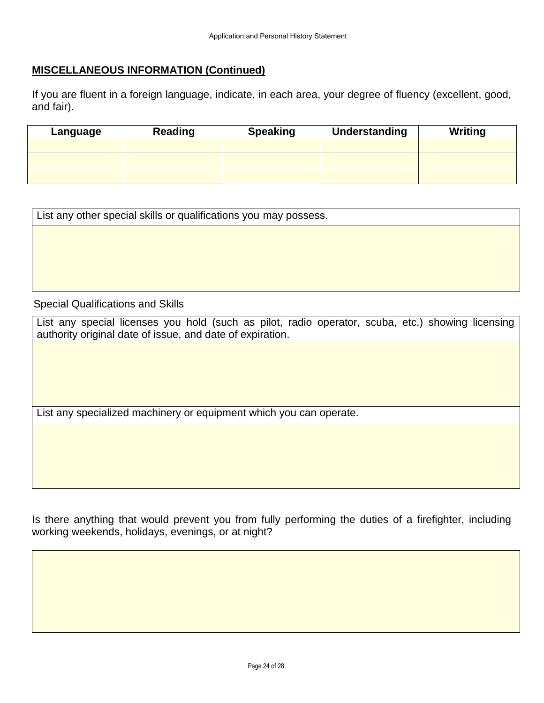## **MISCELLANEOUS INFORMATION (Continued)**

If you are fluent in a foreign language, indicate, in each area, your degree of fluency (excellent, good, and fair).

| Language | Reading | <b>Speaking</b> | Understanding | <b>Writing</b> |
|----------|---------|-----------------|---------------|----------------|
|          |         |                 |               |                |
|          |         |                 |               |                |
|          |         |                 |               |                |

List any other special skills or qualifications you may possess. Special Qualifications and Skills

List any special licenses you hold (such as pilot, radio operator, scuba, etc.) showing licensing authority original date of issue, and date of expiration.

List any specialized machinery or equipment which you can operate.

Is there anything that would prevent you from fully performing the duties of a firefighter, including working weekends, holidays, evenings, or at night?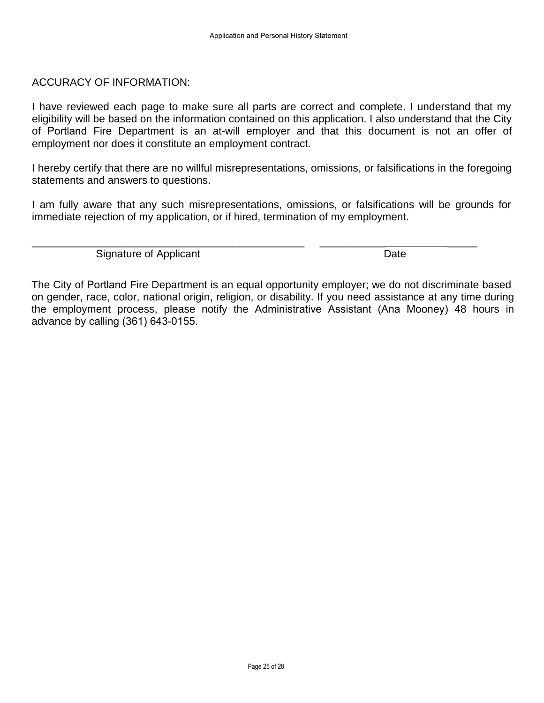### ACCURACY OF INFORMATION:

I have reviewed each page to make sure all parts are correct and complete. I understand that my eligibility will be based on the information contained on this application. I also understand that the City of Portland Fire Department is an at-will employer and that this document is not an offer of employment nor does it constitute an employment contract.

I hereby certify that there are no willful misrepresentations, omissions, or falsifications in the foregoing statements and answers to questions.

I am fully aware that any such misrepresentations, omissions, or falsifications will be grounds for immediate rejection of my application, or if hired, termination of my employment.

\_\_\_\_\_\_\_\_\_\_\_\_\_\_\_\_\_\_\_\_\_\_\_\_\_\_\_\_\_\_\_\_\_\_\_\_\_\_\_\_\_\_\_\_\_\_ \_\_\_\_\_\_\_\_\_\_\_ \_\_\_\_\_

Signature of Applicant Date Date Date

The City of Portland Fire Department is an equal opportunity employer; we do not discriminate based on gender, race, color, national origin, religion, or disability. If you need assistance at any time during the employment process, please notify the Administrative Assistant (Ana Mooney) 48 hours in advance by calling (361) 643-0155.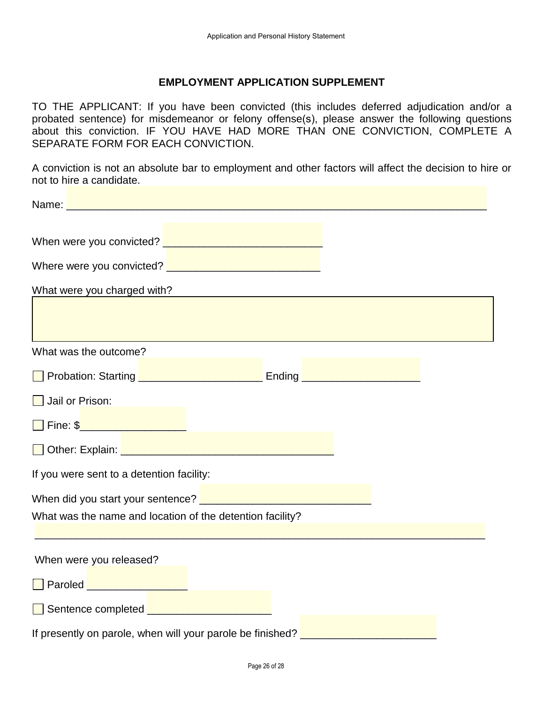## **EMPLOYMENT APPLICATION SUPPLEMENT**

TO THE APPLICANT: If you have been convicted (this includes deferred adjudication and/or a probated sentence) for misdemeanor or felony offense(s), please answer the following questions about this conviction. IF YOU HAVE HAD MORE THAN ONE CONVICTION, COMPLETE A SEPARATE FORM FOR EACH CONVICTION.

A conviction is not an absolute bar to employment and other factors will affect the decision to hire or not to hire a candidate.

| Where were you convicted? <u>New Alleman Alexander and Theory and Theory and Theory and Theory and Theory and Theory</u>                                                                                                                  |  |
|-------------------------------------------------------------------------------------------------------------------------------------------------------------------------------------------------------------------------------------------|--|
| What were you charged with?<br>What were you charged with?                                                                                                                                                                                |  |
|                                                                                                                                                                                                                                           |  |
| What was the outcome?                                                                                                                                                                                                                     |  |
| <b>D</b> Probation: Starting <b>Definition Contract Contract Contract Contract Contract Contract Contract Contract Contract Contract Contract Contract Contract Contract Contract Contract Contract Contract Contract Contract Contra</b> |  |
| Jail or Prison:                                                                                                                                                                                                                           |  |
| Fine: \$ <b>2000 CONTENT</b>                                                                                                                                                                                                              |  |
| Other: Explain:                                                                                                                                                                                                                           |  |
| If you were sent to a detention facility:                                                                                                                                                                                                 |  |
| When did you start your sentence? <u>Denverse and the manual contract of the set of the set of the set of the set o</u>                                                                                                                   |  |
| What was the name and location of the detention facility?                                                                                                                                                                                 |  |
| When were you released?                                                                                                                                                                                                                   |  |
| Paroled <b>Communication</b>                                                                                                                                                                                                              |  |
| Sentence completed <u>Engineer Communication</u>                                                                                                                                                                                          |  |
| If presently on parole, when will your parole be finished?                                                                                                                                                                                |  |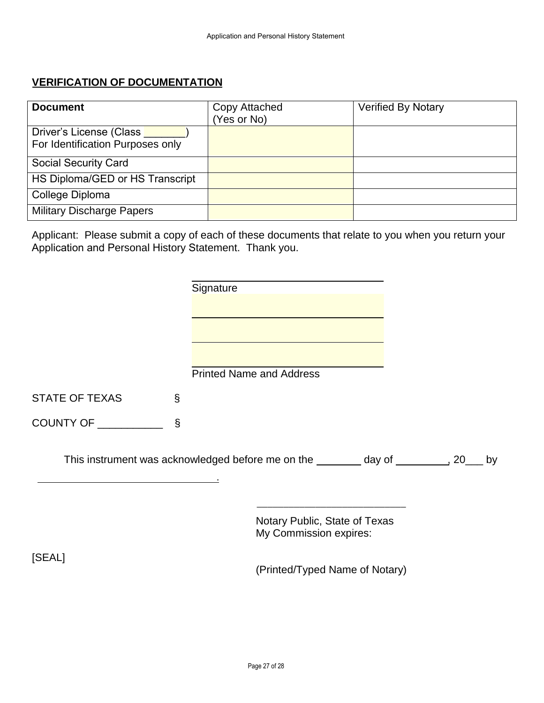# **VERIFICATION OF DOCUMENTATION**

| <b>Document</b>                                             | Copy Attached<br>(Yes or No) | <b>Verified By Notary</b> |
|-------------------------------------------------------------|------------------------------|---------------------------|
| Driver's License (Class<br>For Identification Purposes only |                              |                           |
| <b>Social Security Card</b>                                 |                              |                           |
| HS Diploma/GED or HS Transcript                             |                              |                           |
| College Diploma                                             |                              |                           |
| <b>Military Discharge Papers</b>                            |                              |                           |

Applicant: Please submit a copy of each of these documents that relate to you when you return your Application and Personal History Statement. Thank you.

|                       |   | Signature                                                                           |    |  |
|-----------------------|---|-------------------------------------------------------------------------------------|----|--|
|                       |   |                                                                                     |    |  |
|                       |   |                                                                                     |    |  |
|                       |   |                                                                                     |    |  |
|                       |   | <b>Printed Name and Address</b>                                                     |    |  |
|                       |   |                                                                                     |    |  |
| <b>STATE OF TEXAS</b> | S |                                                                                     |    |  |
|                       |   |                                                                                     |    |  |
|                       |   | This instrument was acknowledged before me on the ________ day of __________, 20___ | by |  |
|                       |   | Notary Public, State of Texas<br>My Commission expires:                             |    |  |
| [SEAL]                |   | (Printed/Typed Name of Notary)                                                      |    |  |